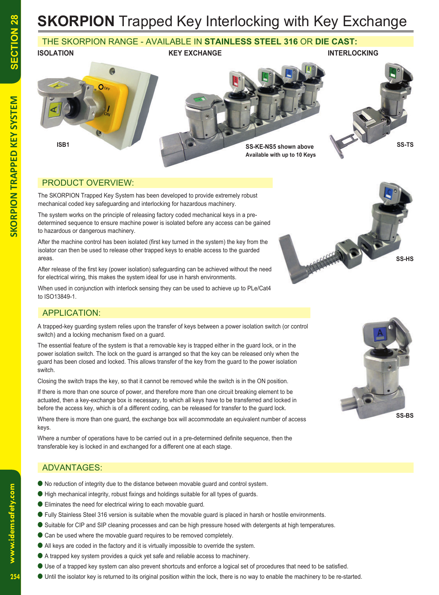### THE SKORPION RANGE - AVAILABLE IN **STAINLESS STEEL 316** OR **DIE CAST:**



#### PRODUCT OVERVIEW:

The SKORPION Trapped Key System has been developed to provide extremely robust mechanical coded key safeguarding and interlocking for hazardous machinery.

The system works on the principle of releasing factory coded mechanical keys in a predetermined sequence to ensure machine power is isolated before any access can be gained to hazardous or dangerous machinery.

After the machine control has been isolated (first key turned in the system) the key from the isolator can then be used to release other trapped keys to enable access to the guarded areas.

After release of the first key (power isolation) safeguarding can be achieved without the need for electrical wiring, this makes the system ideal for use in harsh environments.

When used in conjunction with interlock sensing they can be used to achieve up to PLe/Cat4 to ISO13849-1.

### APPLICATION:

A trapped-key guarding system relies upon the transfer of keys between a power isolation switch (or control switch) and a locking mechanism fixed on a guard.

The essential feature of the system is that a removable key is trapped either in the guard lock, or in the power isolation switch. The lock on the guard is arranged so that the key can be released only when the guard has been closed and locked. This allows transfer of the key from the guard to the power isolation switch.

Closing the switch traps the key, so that it cannot be removed while the switch is in the ON position.

If there is more than one source of power, and therefore more than one circuit breaking element to be actuated, then a key-exchange box is necessary, to which all keys have to be transferred and locked in before the access key, which is of a different coding, can be released for transfer to the guard lock.

Where there is more than one guard, the exchange box will accommodate an equivalent number of access keys.

Where a number of operations have to be carried out in a pre-determined definite sequence, then the transferable key is locked in and exchanged for a different one at each stage.

### ADVANTAGES:

- No reduction of integrity due to the distance between movable guard and control system.
- High mechanical integrity, robust fixings and holdings suitable for all types of guards.
- Eliminates the need for electrical wiring to each movable guard.
- Fully Stainless Steel 316 version is suitable when the movable guard is placed in harsh or hostile environments.
- Suitable for CIP and SIP cleaning processes and can be high pressure hosed with detergents at high temperatures.
- Can be used where the movable quard requires to be removed completely.
- All keys are coded in the factory and it is virtually impossible to override the system.
- A trapped key system provides a quick yet safe and reliable access to machinery.
- Use of a trapped key system can also prevent shortcuts and enforce a logical set of procedures that need to be satisfied.
- Until the isolator key is returned to its original position within the lock, there is no way to enable the machinery to be re-started.



**SS-HS**

 $254$ 

www.idemsafety.com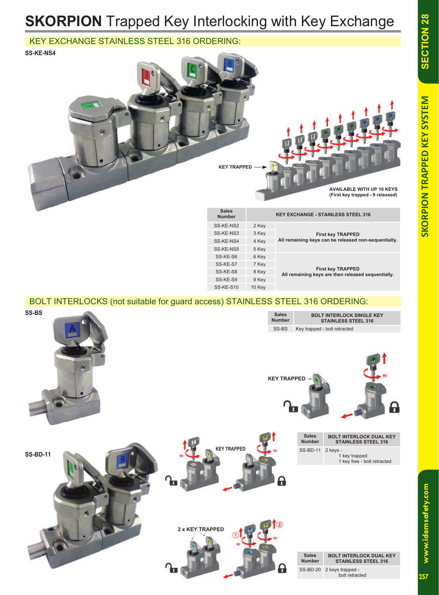**First key TRAPPED All remaining keys are then released sequentially.**

# **SKORPION** Trapped Key Interlocking with Key Exchange

#### KEY EXCHANGE STAINLESS STEEL 316 ORDERING:

**SS-KE-NS4**



SS-KE-S7 7 Key SS-KE-S8 8 Key SS-KE-S9 9 Key SS-KE-S10 10 Key

BOLT INTERLOCKS (not suitable for guard access) STAINLESS STEEL 316 ORDERING:



www.idemsafety.com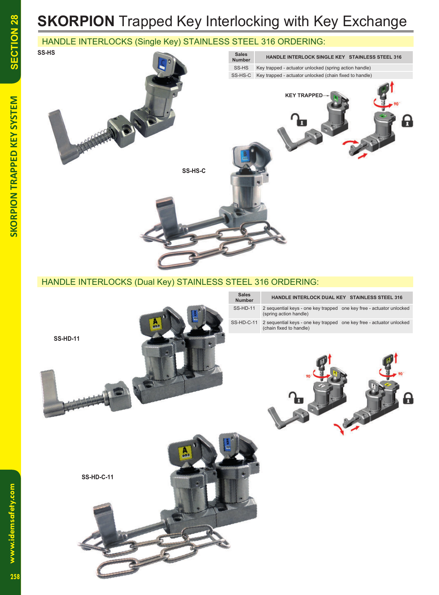## **SKORPION** Trapped Key Interlocking with Key Exchange

## HANDLE INTERLOCKS (Single Key) STAINLESS STEEL 316 ORDERING:



www.idemsafety.com

**www.idemsafety.com SKORPION TRAPPED KEY SYSTEM**

**SKORPION TRAPPED KEY SYSTEM**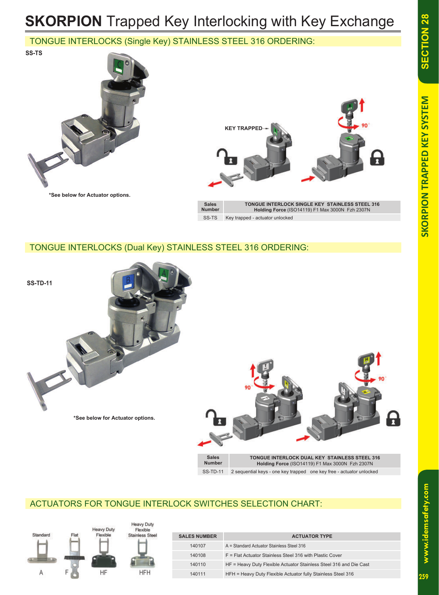**SECTION 28** 

# **SKORPION** Trapped Key Interlocking with Key Exchange

## TONGUE INTERLOCKS (Single Key) STAINLESS STEEL 316 ORDERING:





#### TONGUE INTERLOCKS (Dual Key) STAINLESS STEEL 316 ORDERING:



SS-TD-11 2 sequential keys - one key trapped one key free - actuator unlocked

## ACTUATORS FOR TONGUE INTERLOCK SWITCHES SELECTION CHART:



www.idemsafety.com